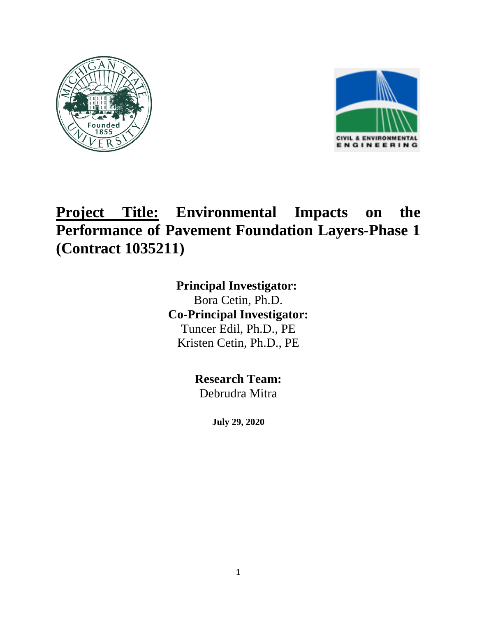



## **Project Title: Environmental Impacts on the Performance of Pavement Foundation Layers-Phase 1 (Contract 1035211)**

**Principal Investigator:**  Bora Cetin, Ph.D. **Co-Principal Investigator:** Tuncer Edil, Ph.D., PE Kristen Cetin, Ph.D., PE

> **Research Team:** Debrudra Mitra

> > **July 29, 2020**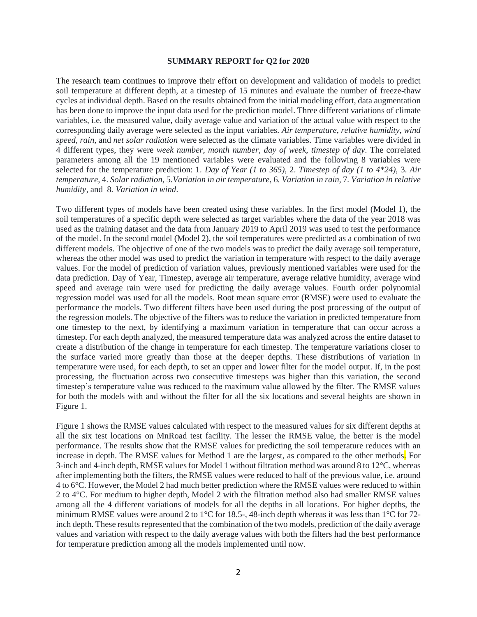## **SUMMARY REPORT for Q2 for 2020**

The research team continues to improve their effort on development and validation of models to predict soil temperature at different depth, at a timestep of 15 minutes and evaluate the number of freeze-thaw cycles at individual depth. Based on the results obtained from the initial modeling effort, data augmentation has been done to improve the input data used for the prediction model. Three different variations of climate variables, i.e. the measured value, daily average value and variation of the actual value with respect to the corresponding daily average were selected as the input variables. *Air temperature*, *relative humidity*, *wind speed*, *rain,* and *net solar radiation* were selected as the climate variables. Time variables were divided in 4 different types, they were *week number*, *month number*, *day of week*, *timestep of day*. The correlated parameters among all the 19 mentioned variables were evaluated and the following 8 variables were selected for the temperature prediction: 1. *Day of Year (1 to 365)*, 2. *Timestep of day (1 to 4\*24)*, 3. *Air temperature,* 4. *Solar radiation,* 5*.Variation in air temperature,* 6*. Variation in rain,* 7*. Variation in relative humidity,* and 8*. Variation in wind*.

Two different types of models have been created using these variables. In the first model (Model 1), the soil temperatures of a specific depth were selected as target variables where the data of the year 2018 was used as the training dataset and the data from January 2019 to April 2019 was used to test the performance of the model. In the second model (Model 2), the soil temperatures were predicted as a combination of two different models. The objective of one of the two models was to predict the daily average soil temperature, whereas the other model was used to predict the variation in temperature with respect to the daily average values. For the model of prediction of variation values, previously mentioned variables were used for the data prediction. Day of Year, Timestep, average air temperature, average relative humidity, average wind speed and average rain were used for predicting the daily average values. Fourth order polynomial regression model was used for all the models. Root mean square error (RMSE) were used to evaluate the performance the models. Two different filters have been used during the post processing of the output of the regression models. The objective of the filters was to reduce the variation in predicted temperature from one timestep to the next, by identifying a maximum variation in temperature that can occur across a timestep. For each depth analyzed, the measured temperature data was analyzed across the entire dataset to create a distribution of the change in temperature for each timestep. The temperature variations closer to the surface varied more greatly than those at the deeper depths. These distributions of variation in temperature were used, for each depth, to set an upper and lower filter for the model output. If, in the post processing, the fluctuation across two consecutive timesteps was higher than this variation, the second timestep's temperature value was reduced to the maximum value allowed by the filter. The RMSE values for both the models with and without the filter for all the six locations and several heights are shown in Figure 1.

Figure 1 shows the RMSE values calculated with respect to the measured values for six different depths at all the six test locations on MnRoad test facility. The lesser the RMSE value, the better is the model performance. The results show that the RMSE values for predicting the soil temperature reduces with an increase in depth. The RMSE values for Method 1 are the largest, as compared to the other methods. For 3-inch and 4-inch depth, RMSE values for Model 1 without filtration method was around 8 to 12°C, whereas after implementing both the filters, the RMSE values were reduced to half of the previous value, i.e. around 4 to 6°C. However, the Model 2 had much better prediction where the RMSE values were reduced to within 2 to 4°C. For medium to higher depth, Model 2 with the filtration method also had smaller RMSE values among all the 4 different variations of models for all the depths in all locations. For higher depths, the minimum RMSE values were around 2 to 1°C for 18.5-, 48-inch depth whereas it was less than 1°C for 72 inch depth. These results represented that the combination of the two models, prediction of the daily average values and variation with respect to the daily average values with both the filters had the best performance for temperature prediction among all the models implemented until now.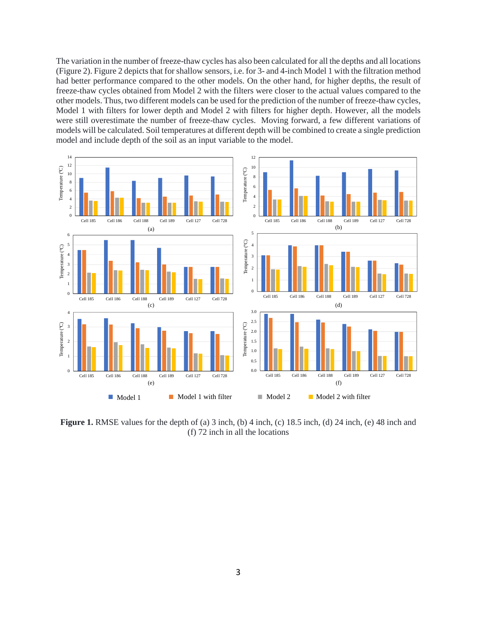The variation in the number of freeze-thaw cycles has also been calculated for all the depths and all locations (Figure 2). Figure 2 depicts that for shallow sensors, i.e. for 3- and 4-inch Model 1 with the filtration method had better performance compared to the other models. On the other hand, for higher depths, the result of freeze-thaw cycles obtained from Model 2 with the filters were closer to the actual values compared to the other models. Thus, two different models can be used for the prediction of the number of freeze-thaw cycles, Model 1 with filters for lower depth and Model 2 with filters for higher depth. However, all the models were still overestimate the number of freeze-thaw cycles. Moving forward, a few different variations of models will be calculated. Soil temperatures at different depth will be combined to create a single prediction model and include depth of the soil as an input variable to the model.



**Figure 1.** RMSE values for the depth of (a) 3 inch, (b) 4 inch, (c) 18.5 inch, (d) 24 inch, (e) 48 inch and (f) 72 inch in all the locations